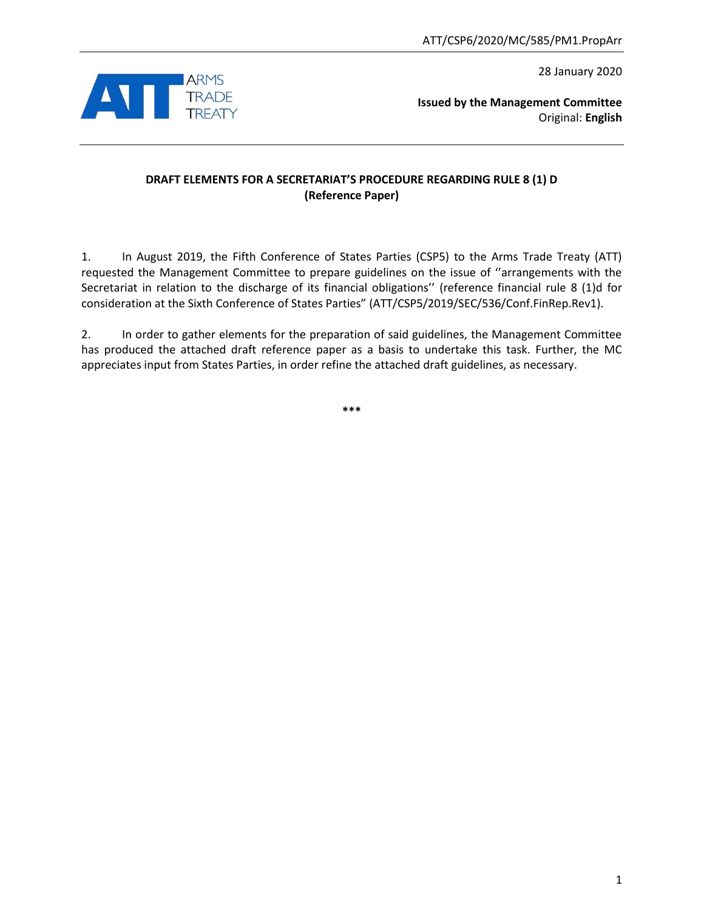28 January 2020



**Issued by the Management Committee** Original: **English**

# **DRAFT ELEMENTS FOR A SECRETARIAT'S PROCEDURE REGARDING RULE 8 (1) D (Reference Paper)**

1. In August 2019, the Fifth Conference of States Parties (CSP5) to the Arms Trade Treaty (ATT) requested the Management Committee to prepare guidelines on the issue of ''arrangements with the Secretariat in relation to the discharge of its financial obligations'' (reference financial rule 8 (1)d for consideration at the Sixth Conference of States Parties" (ATT/CSP5/2019/SEC/536/Conf.FinRep.Rev1).

2. In order to gather elements for the preparation of said guidelines, the Management Committee has produced the attached draft reference paper as a basis to undertake this task. Further, the MC appreciates input from States Parties, in order refine the attached draft guidelines, as necessary.

**\*\*\***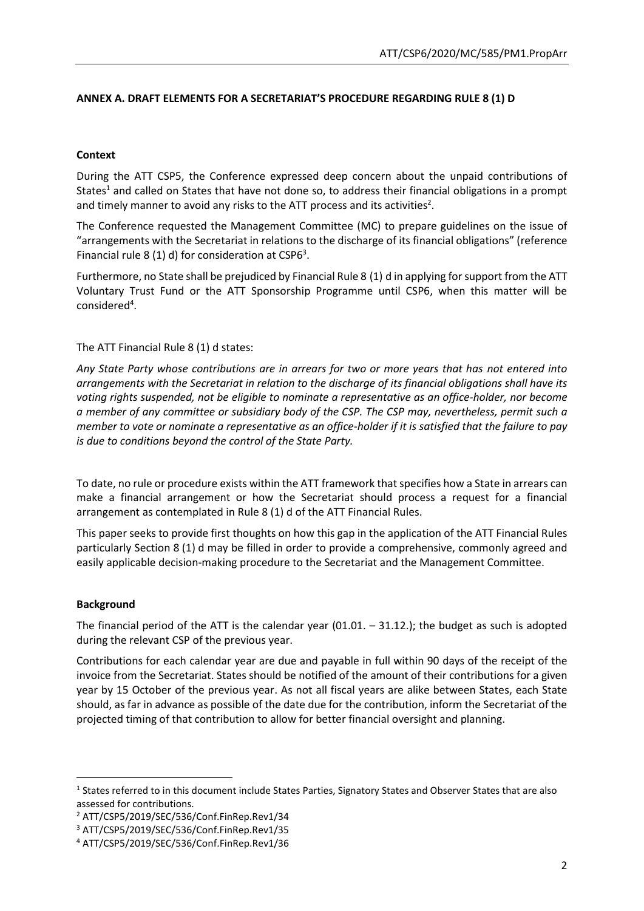## **ANNEX A. DRAFT ELEMENTS FOR A SECRETARIAT'S PROCEDURE REGARDING RULE 8 (1) D**

#### **Context**

During the ATT CSP5, the Conference expressed deep concern about the unpaid contributions of States<sup>1</sup> and called on States that have not done so, to address their financial obligations in a prompt and timely manner to avoid any risks to the ATT process and its activities<sup>2</sup>.

The Conference requested the Management Committee (MC) to prepare guidelines on the issue of "arrangements with the Secretariat in relations to the discharge of its financial obligations" (reference Financial rule 8 (1) d) for consideration at CSP6<sup>3</sup>.

Furthermore, no State shall be prejudiced by Financial Rule 8 (1) d in applying for support from the ATT Voluntary Trust Fund or the ATT Sponsorship Programme until CSP6, when this matter will be considered<sup>4</sup>.

#### The ATT Financial Rule 8 (1) d states:

*Any State Party whose contributions are in arrears for two or more years that has not entered into arrangements with the Secretariat in relation to the discharge of its financial obligations shall have its voting rights suspended, not be eligible to nominate a representative as an office-holder, nor become a member of any committee or subsidiary body of the CSP. The CSP may, nevertheless, permit such a member to vote or nominate a representative as an office-holder if it is satisfied that the failure to pay is due to conditions beyond the control of the State Party.*

To date, no rule or procedure exists within the ATT framework that specifies how a State in arrears can make a financial arrangement or how the Secretariat should process a request for a financial arrangement as contemplated in Rule 8 (1) d of the ATT Financial Rules.

This paper seeks to provide first thoughts on how this gap in the application of the ATT Financial Rules particularly Section 8 (1) d may be filled in order to provide a comprehensive, commonly agreed and easily applicable decision-making procedure to the Secretariat and the Management Committee.

## **Background**

**.** 

The financial period of the ATT is the calendar year  $(01.01. - 31.12.)$ ; the budget as such is adopted during the relevant CSP of the previous year.

Contributions for each calendar year are due and payable in full within 90 days of the receipt of the invoice from the Secretariat. States should be notified of the amount of their contributions for a given year by 15 October of the previous year. As not all fiscal years are alike between States, each State should, as far in advance as possible of the date due for the contribution, inform the Secretariat of the projected timing of that contribution to allow for better financial oversight and planning.

<sup>&</sup>lt;sup>1</sup> States referred to in this document include States Parties, Signatory States and Observer States that are also assessed for contributions.

<sup>2</sup> ATT/CSP5/2019/SEC/536/Conf.FinRep.Rev1/34

<sup>3</sup> ATT/CSP5/2019/SEC/536/Conf.FinRep.Rev1/35

<sup>4</sup> ATT/CSP5/2019/SEC/536/Conf.FinRep.Rev1/36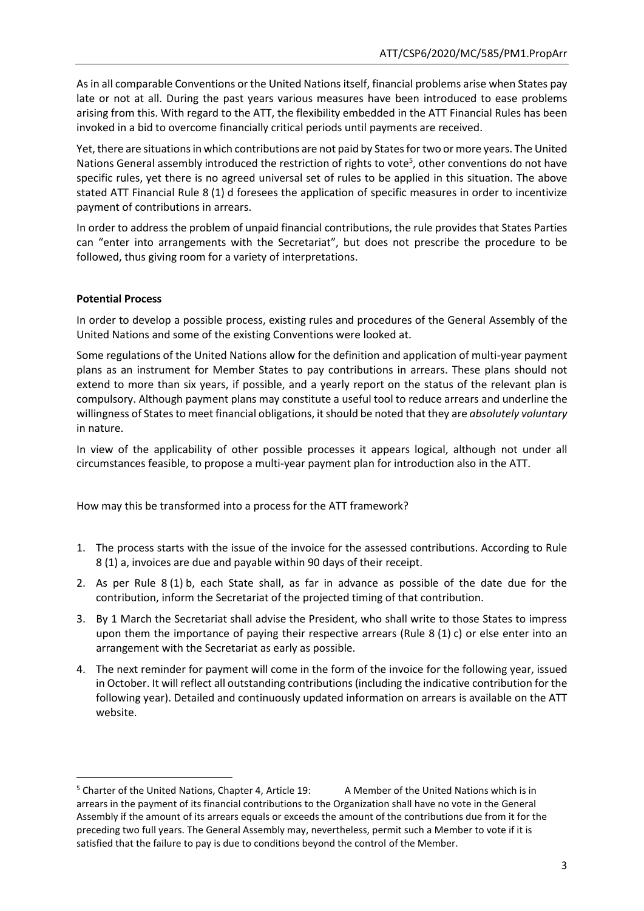As in all comparable Conventions or the United Nations itself, financial problems arise when States pay late or not at all. During the past years various measures have been introduced to ease problems arising from this. With regard to the ATT, the flexibility embedded in the ATT Financial Rules has been invoked in a bid to overcome financially critical periods until payments are received.

Yet, there are situations in which contributions are not paid by States for two or more years. The United Nations General assembly introduced the restriction of rights to vote<sup>5</sup>, other conventions do not have specific rules, yet there is no agreed universal set of rules to be applied in this situation. The above stated ATT Financial Rule 8 (1) d foresees the application of specific measures in order to incentivize payment of contributions in arrears.

In order to address the problem of unpaid financial contributions, the rule provides that States Parties can "enter into arrangements with the Secretariat", but does not prescribe the procedure to be followed, thus giving room for a variety of interpretations.

#### **Potential Process**

**.** 

In order to develop a possible process, existing rules and procedures of the General Assembly of the United Nations and some of the existing Conventions were looked at.

Some regulations of the United Nations allow for the definition and application of multi-year payment plans as an instrument for Member States to pay contributions in arrears. These plans should not extend to more than six years, if possible, and a yearly report on the status of the relevant plan is compulsory. Although payment plans may constitute a useful tool to reduce arrears and underline the willingness of States to meet financial obligations, it should be noted that they are *absolutely voluntary* in nature.

In view of the applicability of other possible processes it appears logical, although not under all circumstances feasible, to propose a multi-year payment plan for introduction also in the ATT.

How may this be transformed into a process for the ATT framework?

- 1. The process starts with the issue of the invoice for the assessed contributions. According to Rule 8 (1) a, invoices are due and payable within 90 days of their receipt.
- 2. As per Rule 8 (1) b, each State shall, as far in advance as possible of the date due for the contribution, inform the Secretariat of the projected timing of that contribution.
- 3. By 1 March the Secretariat shall advise the President, who shall write to those States to impress upon them the importance of paying their respective arrears (Rule  $8(1)c$ ) or else enter into an arrangement with the Secretariat as early as possible.
- 4. The next reminder for payment will come in the form of the invoice for the following year, issued in October. It will reflect all outstanding contributions(including the indicative contribution for the following year). Detailed and continuously updated information on arrears is available on the ATT website.

<sup>&</sup>lt;sup>5</sup> Charter of the United Nations, Chapter 4, Article 19: A Member of the United Nations which is in arrears in the payment of its financial contributions to the Organization shall have no vote in the General Assembly if the amount of its arrears equals or exceeds the amount of the contributions due from it for the preceding two full years. The General Assembly may, nevertheless, permit such a Member to vote if it is satisfied that the failure to pay is due to conditions beyond the control of the Member.